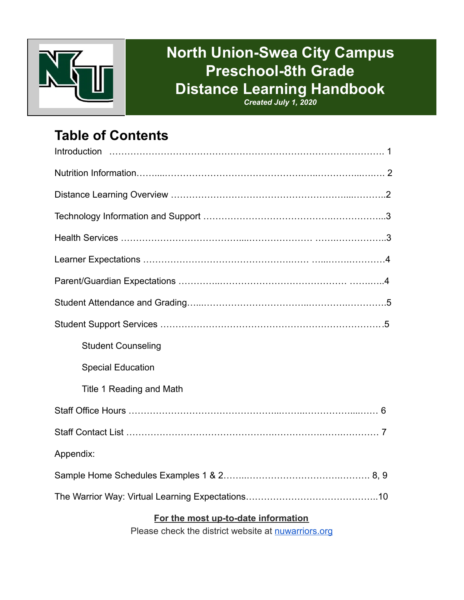

# **North Union-Swea City Campus Preschool-8th Grade Distance Learning Handbook**

*Created July 1, 2020*

## **Table of Contents**

| <b>Student Counseling</b>           |
|-------------------------------------|
| <b>Special Education</b>            |
| Title 1 Reading and Math            |
|                                     |
|                                     |
| Appendix:                           |
|                                     |
|                                     |
| For the most up-to-date information |

Please check the district website at **nuwarriors.org**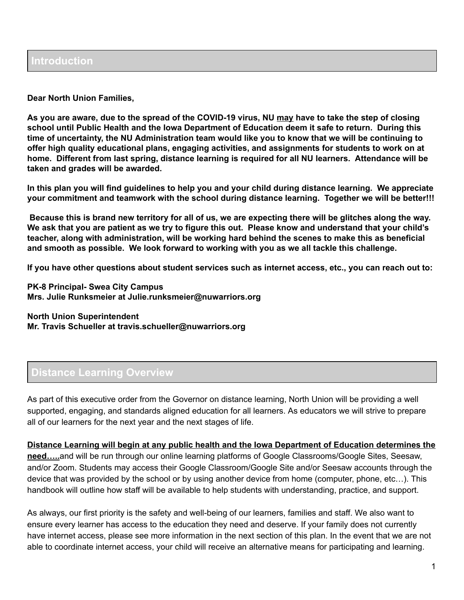**Dear North Union Families,**

As you are aware, due to the spread of the COVID-19 virus, NU may have to take the step of closing **school until Public Health and the Iowa Department of Education deem it safe to return. During this** time of uncertainty, the NU Administration team would like you to know that we will be continuing to **offer high quality educational plans, engaging activities, and assignments for students to work on at home. Different from last spring, distance learning is required for all NU learners. Attendance will be taken and grades will be awarded.**

In this plan you will find guidelines to help you and your child during distance learning. We appreciate **your commitment and teamwork with the school during distance learning. Together we will be better!!!**

Because this is brand new territory for all of us, we are expecting there will be glitches along the way. We ask that you are patient as we try to figure this out. Please know and understand that your child's **teacher, along with administration, will be working hard behind the scenes to make this as beneficial and smooth as possible. We look forward to working with you as we all tackle this challenge.**

If you have other questions about student services such as internet access, etc., you can reach out to:

**PK-8 Principal- Swea City Campus Mrs. Julie Runksmeier at Julie.runksmeier@nuwarriors.org**

**North Union Superintendent Mr. Travis Schueller at travis.schueller@nuwarriors.org**

#### **Distance Learning Overview**

As part of this executive order from the Governor on distance learning, North Union will be providing a well supported, engaging, and standards aligned education for all learners. As educators we will strive to prepare all of our learners for the next year and the next stages of life.

**Distance Learning will begin at any public health and the Iowa Department of Education determines the need…..**and will be run through our online learning platforms of Google Classrooms/Google Sites, Seesaw, and/or Zoom. Students may access their Google Classroom/Google Site and/or Seesaw accounts through the device that was provided by the school or by using another device from home (computer, phone, etc…). This handbook will outline how staff will be available to help students with understanding, practice, and support.

As always, our first priority is the safety and well-being of our learners, families and staff. We also want to ensure every learner has access to the education they need and deserve. If your family does not currently have internet access, please see more information in the next section of this plan. In the event that we are not able to coordinate internet access, your child will receive an alternative means for participating and learning.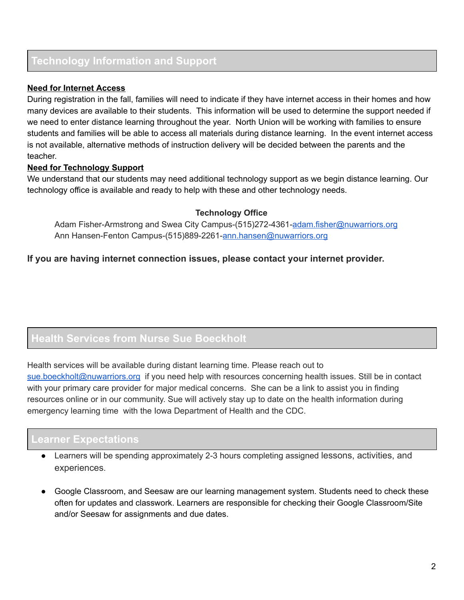#### **Technology Information and Support**

#### **Need for Internet Access**

During registration in the fall, families will need to indicate if they have internet access in their homes and how many devices are available to their students. This information will be used to determine the support needed if we need to enter distance learning throughout the year. North Union will be working with families to ensure students and families will be able to access all materials during distance learning. In the event internet access is not available, alternative methods of instruction delivery will be decided between the parents and the teacher.

#### **Need for Technology Support**

We understand that our students may need additional technology support as we begin distance learning. Our technology office is available and ready to help with these and other technology needs.

#### **Technology Office**

Adam Fisher-Armstrong and Swea City Campus-(515)272-4361[-adam.fisher@nuwarriors.org](mailto:adam.fisher@nuwarriors.org) Ann Hansen-Fenton Campus-(515)889-2261-[ann.hansen@nuwarriors.org](mailto:ann.hansen@nuwarriors.org)

**If you are having internet connection issues, please contact your internet provider.** 

#### **Health Services from Nurse Sue Boeckholt**

Health services will be available during distant learning time. Please reach out to [sue.boeckholt@nuwarriors.org](mailto:sue.boeckholt@nuwarriors.org) if you need help with resources concerning health issues. Still be in contact with your primary care provider for major medical concerns. She can be a link to assist you in finding resources online or in our community. Sue will actively stay up to date on the health information during emergency learning time with the Iowa Department of Health and the CDC.

#### **Learner Expectations**

- Learners will be spending approximately 2-3 hours completing assigned lessons, activities, and experiences .
- Google Classroom, and Seesaw are our learning management system. Students need to check these often for updates and classwork. Learners are responsible for checking their Google Classroom/Site and/or Seesaw for assignments and due dates.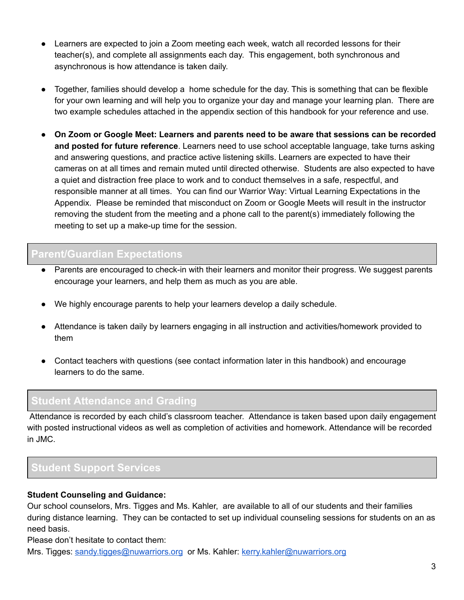- Learners are expected to join a Zoom meeting each week, watch all recorded lessons for their teacher(s), and complete all assignments each day. This engagement, both synchronous and asynchronous is how attendance is taken daily.
- Together, families should develop a home schedule for the day. This is something that can be flexible for your own learning and will help you to organize your day and manage your learning plan. There are two example schedules attached in the appendix section of this handbook for your reference and use.
- **On Zoom or Google Meet: Learners and parents need to be aware that sessions can be recorded and posted for future reference**. Learners need to use school acceptable language, take turns asking and answering questions, and practice active listening skills. Learners are expected to have their cameras on at all times and remain muted until directed otherwise. Students are also expected to have a quiet and distraction free place to work and to conduct themselves in a safe, respectful, and responsible manner at all times. You can find our Warrior Way: Virtual Learning Expectations in the Appendix. Please be reminded that misconduct on Zoom or Google Meets will result in the instructor removing the student from the meeting and a phone call to the parent(s) immediately following the meeting to set up a make-up time for the session.

#### **Parent/Guardian Expectations**

- Parents are encouraged to check-in with their learners and monitor their progress. We suggest parents encourage your learners, and help them as much as you are able.
- We highly encourage parents to help your learners develop a daily schedule.
- Attendance is taken daily by learners engaging in all instruction and activities/homework provided to them
- Contact teachers with questions (see contact information later in this handbook) and encourage learners to do the same.

#### **Student Attendance and Grading**

Attendance is recorded by each child's classroom teacher. Attendance is taken based upon daily engagement with posted instructional videos as well as completion of activities and homework. Attendance will be recorded in JMC.

#### **Student Support Services**

#### **Student Counseling and Guidance:**

Our school counselors, Mrs. Tigges and Ms. Kahler, are available to all of our students and their families during distance learning. They can be contacted to set up individual counseling sessions for students on an as need basis.

Please don't hesitate to contact them:

Mrs. Tigges: [sandy.tigges@nuwarriors.org](mailto:sandy.tigges@nuwarriors.org) or Ms. Kahler: [kerry.kahler@nuwarriors.org](mailto:kerry.kahler@nuwarriors.org)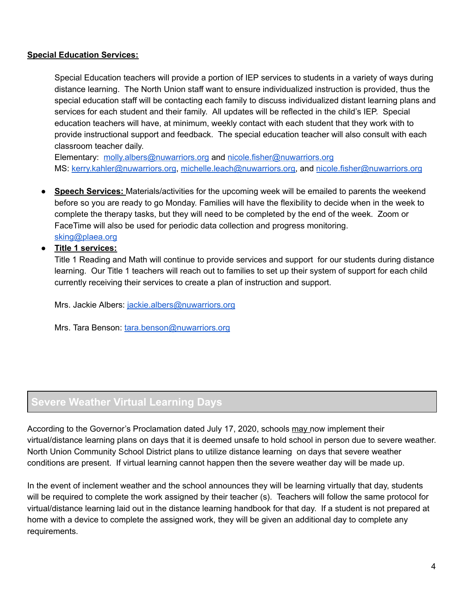#### **Special Education Services:**

Special Education teachers will provide a portion of IEP services to students in a variety of ways during distance learning. The North Union staff want to ensure individualized instruction is provided, thus the special education staff will be contacting each family to discuss individualized distant learning plans and services for each student and their family. All updates will be reflected in the child's IEP. Special education teachers will have, at minimum, weekly contact with each student that they work with to provide instructional support and feedback. The special education teacher will also consult with each classroom teacher daily.

Elementary: [molly.albers@nuwarriors.org](mailto:molly.albers@nuwarriors.org) and [nicole.fisher@nuwarriors.org](mailto:nicole.fisher@nuwarriors.org) MS: [kerry.kahler@nuwarriors.org](mailto:kerry.kahler@nuwarriors.org), [michelle.leach@nuwarriors.org,](mailto:michelle.leach@nuwarriors.org) and [nicole.fisher@nuwarriors.org](mailto:nicole.fisher@nuwarriors.org)

- **Speech Services:** Materials/activities for the upcoming week will be emailed to parents the weekend before so you are ready to go Monday. Families will have the flexibility to decide when in the week to complete the therapy tasks, but they will need to be completed by the end of the week. Zoom or FaceTime will also be used for periodic data collection and progress monitoring. [sking@plaea.org](mailto:sking@plaea.org)
- **● Title 1 services:**

Title 1 Reading and Math will continue to provide services and support for our students during distance learning. Our Title 1 teachers will reach out to families to set up their system of support for each child currently receiving their services to create a plan of instruction and support.

Mrs. Jackie Albers: [jackie.albers@nuwarriors.org](mailto:jackie.albers@nuwarriors.org)

Mrs. Tara Benson: [tara.benson@nuwarriors.org](mailto:tara.benson@nuwarriors.org)

### **Severe Weather Virtual Learning Days**

According to the Governor's Proclamation dated July 17, 2020, schools may now implement their virtual/distance learning plans on days that it is deemed unsafe to hold school in person due to severe weather. North Union Community School District plans to utilize distance learning on days that severe weather conditions are present. If virtual learning cannot happen then the severe weather day will be made up.

In the event of inclement weather and the school announces they will be learning virtually that day, students will be required to complete the work assigned by their teacher (s). Teachers will follow the same protocol for virtual/distance learning laid out in the distance learning handbook for that day. If a student is not prepared at home with a device to complete the assigned work, they will be given an additional day to complete any requirements.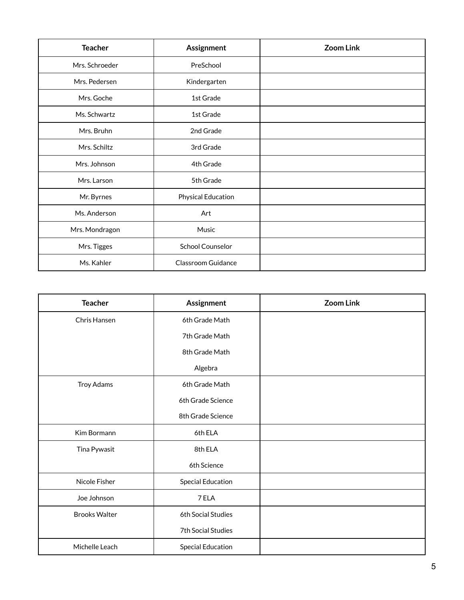| <b>Teacher</b> | Assignment              | <b>Zoom Link</b> |
|----------------|-------------------------|------------------|
| Mrs. Schroeder | PreSchool               |                  |
| Mrs. Pedersen  | Kindergarten            |                  |
| Mrs. Goche     | 1st Grade               |                  |
| Ms. Schwartz   | 1st Grade               |                  |
| Mrs. Bruhn     | 2nd Grade               |                  |
| Mrs. Schiltz   | 3rd Grade               |                  |
| Mrs. Johnson   | 4th Grade               |                  |
| Mrs. Larson    | 5th Grade               |                  |
| Mr. Byrnes     | Physical Education      |                  |
| Ms. Anderson   | Art                     |                  |
| Mrs. Mondragon | Music                   |                  |
| Mrs. Tigges    | <b>School Counselor</b> |                  |
| Ms. Kahler     | Classroom Guidance      |                  |

| <b>Teacher</b>       | Assignment               | <b>Zoom Link</b> |
|----------------------|--------------------------|------------------|
| Chris Hansen         | 6th Grade Math           |                  |
|                      | 7th Grade Math           |                  |
|                      | 8th Grade Math           |                  |
|                      | Algebra                  |                  |
| <b>Troy Adams</b>    | 6th Grade Math           |                  |
|                      | 6th Grade Science        |                  |
|                      | 8th Grade Science        |                  |
| Kim Bormann          | 6th ELA                  |                  |
| Tina Pywasit         | 8th ELA                  |                  |
|                      | 6th Science              |                  |
| Nicole Fisher        | <b>Special Education</b> |                  |
| Joe Johnson          | 7 ELA                    |                  |
| <b>Brooks Walter</b> | 6th Social Studies       |                  |
|                      | 7th Social Studies       |                  |
| Michelle Leach       | <b>Special Education</b> |                  |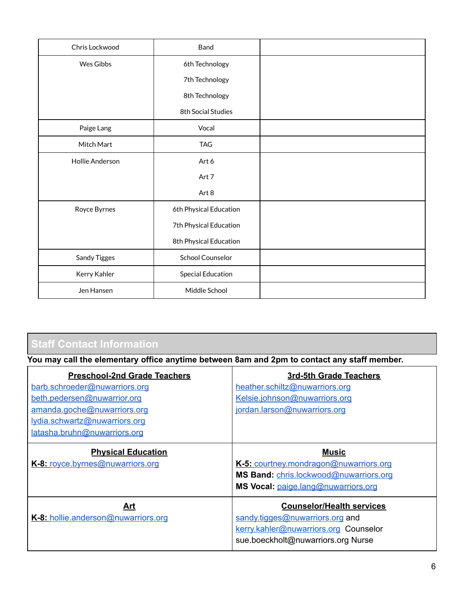| Chris Lockwood  | Band                     |  |
|-----------------|--------------------------|--|
| Wes Gibbs       | 6th Technology           |  |
|                 | 7th Technology           |  |
|                 | 8th Technology           |  |
|                 | 8th Social Studies       |  |
| Paige Lang      | Vocal                    |  |
| Mitch Mart      | <b>TAG</b>               |  |
| Hollie Anderson | Art 6                    |  |
|                 | Art 7                    |  |
|                 | Art 8                    |  |
| Royce Byrnes    | 6th Physical Education   |  |
|                 | 7th Physical Education   |  |
|                 | 8th Physical Education   |  |
| Sandy Tigges    | <b>School Counselor</b>  |  |
| Kerry Kahler    | <b>Special Education</b> |  |
| Jen Hansen      | Middle School            |  |

### **Staff Contact Information**

**You may call the elementary office anytime between 8am and 2pm to contact any staff member.**

| <b>Preschool-2nd Grade Teachers</b> | 3rd-5th Grade Teachers                 |
|-------------------------------------|----------------------------------------|
| barb.schroeder@nuwarriors.org       | heather.schiltz@nuwarriors.org         |
| beth.pedersen@nuwarrior.org         | Kelsie.johnson@nuwarriors.org          |
| amanda.goche@nuwarriors.org         | jordan.larson@nuwarriors.org           |
| lydia.schwartz@nuwarriors.org       |                                        |
| latasha.bruhn@nuwarriors.org        |                                        |
| <b>Physical Education</b>           | <b>Music</b>                           |
| K-8: royce.byrnes@nuwarriors.org    | K-5: courtney.mondragon@nuwarriors.org |
|                                     | MS Band: chris.lockwood@nuwarriors.org |
|                                     | MS Vocal: paige.lang@nuwarriors.org    |
| Art                                 | <b>Counselor/Health services</b>       |
| K-8: hollie.anderson@nuwarriors.org | sandy.tigges@nuwarriors.org and        |
|                                     | kerry.kahler@nuwarriors.org Counselor  |
|                                     | sue.boeckholt@nuwarriors.org Nurse     |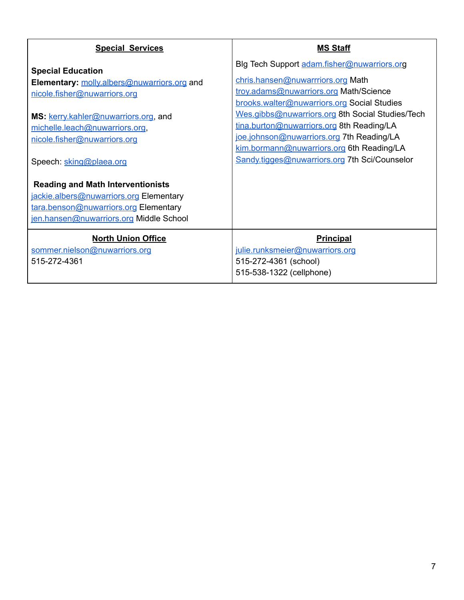| <b>Special Services</b>                                                                                                                                                                                                                      | <b>MS Staff</b>                                                                                                                                                                                                                                                                                                                                                                                                       |
|----------------------------------------------------------------------------------------------------------------------------------------------------------------------------------------------------------------------------------------------|-----------------------------------------------------------------------------------------------------------------------------------------------------------------------------------------------------------------------------------------------------------------------------------------------------------------------------------------------------------------------------------------------------------------------|
| <b>Special Education</b><br>Elementary: molly.albers@nuwarriors.org and<br>nicole.fisher@nuwarriors.org<br>MS: kerry.kahler@nuwarriors.org, and<br>michelle.leach@nuwarriors.org,<br>nicole.fisher@nuwarriors.org<br>Speech: sking@plaea.org | Blg Tech Support adam.fisher@nuwarriors.org<br>chris.hansen@nuwarrriors.org Math<br>troy.adams@nuwarriors.org Math/Science<br>brooks.walter@nuwarriors.org Social Studies<br>Wes.gibbs@nuwarriors.org 8th Social Studies/Tech<br>tina.burton@nuwarriors.org 8th Reading/LA<br>joe.johnson@nuwarriors.org 7th Reading/LA<br>kim.bormann@nuwarriors.org 6th Reading/LA<br>Sandy.tigges@nuwarriors.org 7th Sci/Counselor |
| <b>Reading and Math Interventionists</b><br>jackie.albers@nuwarriors.org Elementary<br>tara.benson@nuwarriors.org Elementary<br>jen.hansen@nuwarriors.org Middle School                                                                      |                                                                                                                                                                                                                                                                                                                                                                                                                       |
| <b>North Union Office</b><br>sommer.nielson@nuwarriors.org<br>515-272-4361                                                                                                                                                                   | <b>Principal</b><br>julie.runksmeier@nuwarriors.org<br>515-272-4361 (school)<br>515-538-1322 (cellphone)                                                                                                                                                                                                                                                                                                              |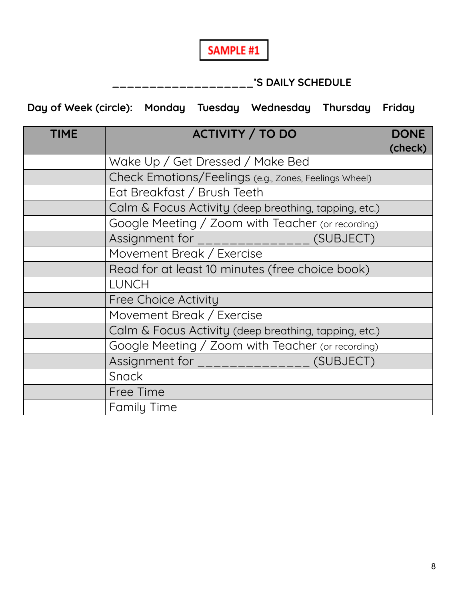

### **\_\_\_\_\_\_\_\_\_\_\_\_\_\_\_\_\_\_\_'S DAILY SCHEDULE**

**Day of Week (circle): Monday Tuesday Wednesday Thursday Friday**

| <b>TIME</b> | <b>ACTIVITY / TO DO</b>                               | <b>DONE</b> |
|-------------|-------------------------------------------------------|-------------|
|             |                                                       | (check)     |
|             | Wake Up / Get Dressed / Make Bed                      |             |
|             | Check Emotions/Feelings (e.g., Zones, Feelings Wheel) |             |
|             | Eat Breakfast / Brush Teeth                           |             |
|             | Calm & Focus Activity (deep breathing, tapping, etc.) |             |
|             | Google Meeting / Zoom with Teacher (or recording)     |             |
|             | Assignment for ________________ (SUBJECT)             |             |
|             | Movement Break / Exercise                             |             |
|             | Read for at least 10 minutes (free choice book)       |             |
|             | <b>LUNCH</b>                                          |             |
|             | <b>Free Choice Activity</b>                           |             |
|             | Movement Break / Exercise                             |             |
|             | Calm & Focus Activity (deep breathing, tapping, etc.) |             |
|             | Google Meeting / Zoom with Teacher (or recording)     |             |
|             | Assignment for ________________ (SUBJECT)             |             |
|             | Snack                                                 |             |
|             | Free Time                                             |             |
|             | <b>Family Time</b>                                    |             |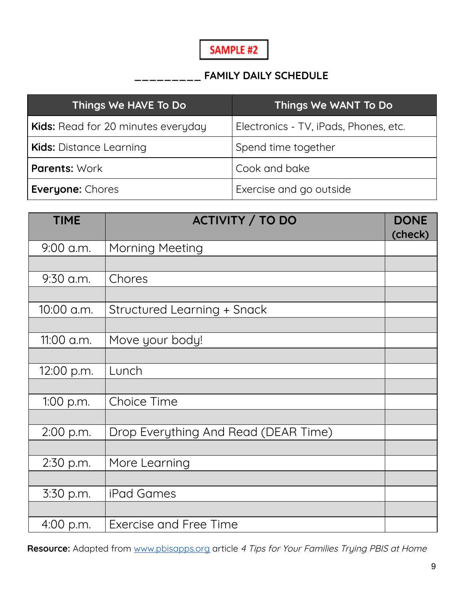### **SAMPLE #2**

#### **\_\_\_\_\_\_\_\_\_ FAMILY DAILY SCHEDULE**

| Things We HAVE To Do                      | Things We WANT To Do                  |
|-------------------------------------------|---------------------------------------|
| <b>Kids:</b> Read for 20 minutes everyday | Electronics - TV, iPads, Phones, etc. |
| <b>Kids: Distance Learning</b>            | Spend time together                   |
| <b>Parents: Work</b>                      | Cook and bake                         |
| <b>Everyone: Chores</b>                   | Exercise and go outside               |

| <b>TIME</b> | <b>ACTIVITY / TO DO</b>              | <b>DONE</b> |
|-------------|--------------------------------------|-------------|
|             |                                      | (check)     |
| 9:00 a.m.   | <b>Morning Meeting</b>               |             |
|             |                                      |             |
| $9:30$ a.m. | Chores                               |             |
|             |                                      |             |
| 10:00 a.m.  | Structured Learning + Snack          |             |
|             |                                      |             |
| 11:00 a.m.  | Move your body!                      |             |
|             |                                      |             |
| 12:00 p.m.  | Lunch                                |             |
|             |                                      |             |
| 1:00 p.m.   | <b>Choice Time</b>                   |             |
|             |                                      |             |
| 2:00 p.m.   | Drop Everything And Read (DEAR Time) |             |
|             |                                      |             |
| 2:30 p.m.   | More Learning                        |             |
|             |                                      |             |
| 3:30 p.m.   | iPad Games                           |             |
|             |                                      |             |
| 4:00 p.m.   | <b>Exercise and Free Time</b>        |             |

Resource: Adapted from [www.pbisapps.org](http://www.pbisapps.org/) article 4 Tips for Your Families Trying PBIS at Home